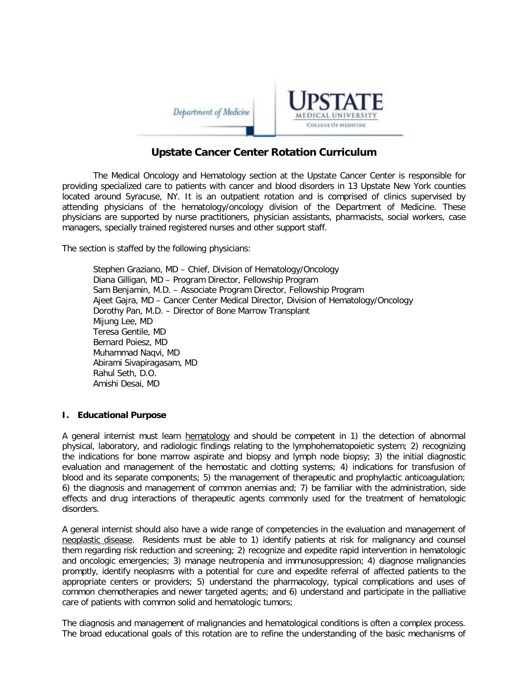



# **Upstate Cancer Center Rotation Curriculum**

The Medical Oncology and Hematology section at the Upstate Cancer Center is responsible for providing specialized care to patients with cancer and blood disorders in 13 Upstate New York counties located around Syracuse, NY. It is an outpatient rotation and is comprised of clinics supervised by attending physicians of the hematology/oncology division of the Department of Medicine. These physicians are supported by nurse practitioners, physician assistants, pharmacists, social workers, case managers, specially trained registered nurses and other support staff.

The section is staffed by the following physicians:

Stephen Graziano, MD – Chief, Division of Hematology/Oncology Diana Gilligan, MD – Program Director, Fellowship Program Sam Benjamin, M.D. – Associate Program Director, Fellowship Program Ajeet Gajra, MD – Cancer Center Medical Director, Division of Hematology/Oncology Dorothy Pan, M.D. – Director of Bone Marrow Transplant Mijung Lee, MD Teresa Gentile, MD Bernard Poiesz, MD Muhammad Naqvi, MD Abirami Sivapiragasam, MD Rahul Seth, D.O. Amishi Desai, MD

## **I. Educational Purpose**

A general internist must learn hematology and should be competent in 1) the detection of abnormal physical, laboratory, and radiologic findings relating to the lymphohematopoietic system; 2) recognizing the indications for bone marrow aspirate and biopsy and lymph node biopsy; 3) the initial diagnostic evaluation and management of the hemostatic and clotting systems; 4) indications for transfusion of blood and its separate components; 5) the management of therapeutic and prophylactic anticoagulation; 6) the diagnosis and management of common anemias and; 7) be familiar with the administration, side effects and drug interactions of therapeutic agents commonly used for the treatment of hematologic disorders.

A general internist should also have a wide range of competencies in the evaluation and management of neoplastic disease. Residents must be able to 1) identify patients at risk for malignancy and counsel them regarding risk reduction and screening; 2) recognize and expedite rapid intervention in hematologic and oncologic emergencies; 3) manage neutropenia and immunosuppression; 4) diagnose malignancies promptly, identify neoplasms with a potential for cure and expedite referral of affected patients to the appropriate centers or providers; 5) understand the pharmacology, typical complications and uses of common chemotherapies and newer targeted agents; and 6) understand and participate in the palliative care of patients with common solid and hematologic tumors;

The diagnosis and management of malignancies and hematological conditions is often a complex process. The broad educational goals of this rotation are to refine the understanding of the basic mechanisms of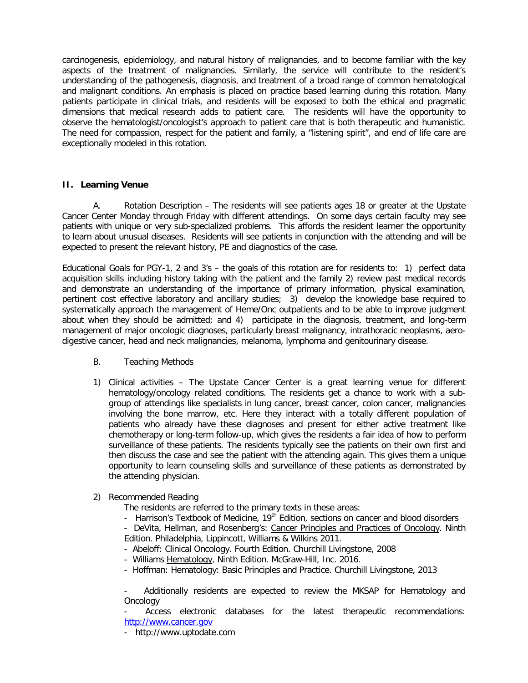carcinogenesis, epidemiology, and natural history of malignancies, and to become familiar with the key aspects of the treatment of malignancies. Similarly, the service will contribute to the resident's understanding of the pathogenesis, diagnosis, and treatment of a broad range of common hematological and malignant conditions. An emphasis is placed on practice based learning during this rotation. Many patients participate in clinical trials, and residents will be exposed to both the ethical and pragmatic dimensions that medical research adds to patient care. The residents will have the opportunity to observe the hematologist/oncologist's approach to patient care that is both therapeutic and humanistic. The need for compassion, respect for the patient and family, a "listening spirit", and end of life care are exceptionally modeled in this rotation.

## **II. Learning Venue**

A. Rotation Description – The residents will see patients ages 18 or greater at the Upstate Cancer Center Monday through Friday with different attendings. On some days certain faculty may see patients with unique or very sub-specialized problems. This affords the resident learner the opportunity to learn about unusual diseases. Residents will see patients in conjunction with the attending and will be expected to present the relevant history, PE and diagnostics of the case.

Educational Goals for PGY-1, 2 and 3's – the goals of this rotation are for residents to: 1) perfect data acquisition skills including history taking with the patient and the family 2) review past medical records and demonstrate an understanding of the importance of primary information, physical examination, pertinent cost effective laboratory and ancillary studies; 3) develop the knowledge base required to systematically approach the management of Heme/Onc outpatients and to be able to improve judgment about when they should be admitted; and 4) participate in the diagnosis, treatment, and long-term management of major oncologic diagnoses, particularly breast malignancy, intrathoracic neoplasms, aerodigestive cancer, head and neck malignancies, melanoma, lymphoma and genitourinary disease.

- B. Teaching Methods
- 1) Clinical activities The Upstate Cancer Center is a great learning venue for different hematology/oncology related conditions. The residents get a chance to work with a subgroup of attendings like specialists in lung cancer, breast cancer, colon cancer, malignancies involving the bone marrow, etc. Here they interact with a totally different population of patients who already have these diagnoses and present for either active treatment like chemotherapy or long-term follow-up, which gives the residents a fair idea of how to perform surveillance of these patients. The residents typically see the patients on their own first and then discuss the case and see the patient with the attending again. This gives them a unique opportunity to learn counseling skills and surveillance of these patients as demonstrated by the attending physician.
- 2) Recommended Reading
	- The residents are referred to the primary texts in these areas:
	- Harrison's Textbook of Medicine, 19<sup>th</sup> Edition, sections on cancer and blood disorders

- DeVita, Hellman, and Rosenberg's: Cancer Principles and Practices of Oncology. Ninth Edition. Philadelphia, Lippincott, Williams & Wilkins 2011.

- Abeloff: Clinical Oncology. Fourth Edition. Churchill Livingstone, 2008
- Williams Hematology, Ninth Edition. McGraw-Hill, Inc. 2016.
- Hoffman: Hematology: Basic Principles and Practice. Churchill Livingstone, 2013

Additionally residents are expected to review the MKSAP for Hematology and Oncology

Access electronic databases for the latest therapeutic recommendations: [http://www.cancer.gov](http://www.cancer.gov/)

- http://www.uptodate.com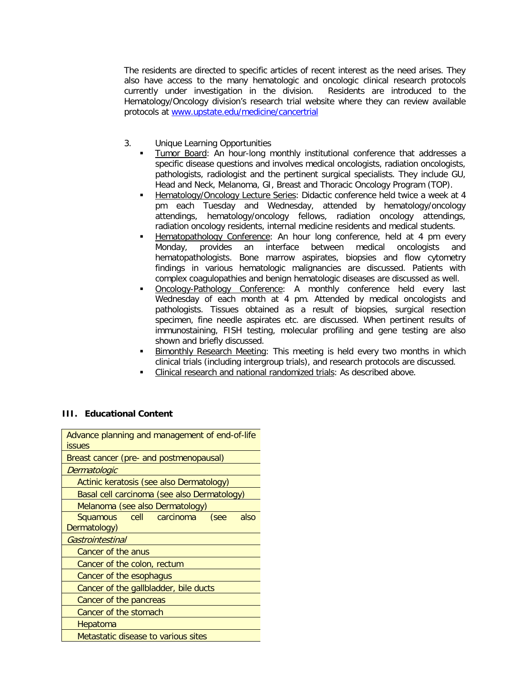The residents are directed to specific articles of recent interest as the need arises. They also have access to the many hematologic and oncologic clinical research protocols currently under investigation in the division. Residents are introduced to the Hematology/Oncology division's research trial website where they can review available protocols at [www.upstate.edu/medicine/cancertrial](http://www.upstate.edu/medicine/cancertrial)

- 3. Unique Learning Opportunities
	- Tumor Board: An hour-long monthly institutional conference that addresses a specific disease questions and involves medical oncologists, radiation oncologists, pathologists, radiologist and the pertinent surgical specialists. They include GU, Head and Neck, Melanoma, GI, Breast and Thoracic Oncology Program (TOP).
	- Hematology/Oncology Lecture Series: Didactic conference held twice a week at 4 pm each Tuesday and Wednesday, attended by hematology/oncology attendings, hematology/oncology fellows, radiation oncology attendings, radiation oncology residents, internal medicine residents and medical students.
	- Hematopathology Conference: An hour long conference, held at 4 pm every Monday, provides an interface between medical oncologists and hematopathologists. Bone marrow aspirates, biopsies and flow cytometry findings in various hematologic malignancies are discussed. Patients with complex coagulopathies and benign hematologic diseases are discussed as well.
	- Oncology-Pathology Conference: A monthly conference held every last Wednesday of each month at 4 pm. Attended by medical oncologists and pathologists. Tissues obtained as a result of biopsies, surgical resection specimen, fine needle aspirates etc. are discussed. When pertinent results of immunostaining, FISH testing, molecular profiling and gene testing are also shown and briefly discussed.
	- Bimonthly Research Meeting: This meeting is held every two months in which clinical trials (including intergroup trials), and research protocols are discussed.
	- Clinical research and national randomized trials: As described above.

## **III. Educational Content**

| Advance planning and management of end-of-life<br><b>issues</b> |
|-----------------------------------------------------------------|
| Breast cancer (pre- and postmenopausal)                         |
| Dermatologic                                                    |
| Actinic keratosis (see also Dermatology)                        |
| Basal cell carcinoma (see also Dermatology)                     |
| Melanoma (see also Dermatology)                                 |
| Squamous cell<br>carcinoma<br>(see<br>also                      |
| Dermatology)                                                    |
| Gastrointestinal                                                |
| Cancer of the anus                                              |
| Cancer of the colon, rectum                                     |
| Cancer of the esophagus                                         |
| Cancer of the gallbladder, bile ducts                           |
| Cancer of the pancreas                                          |
| Cancer of the stomach                                           |
| Hepatoma                                                        |
| Metastatic disease to various sites                             |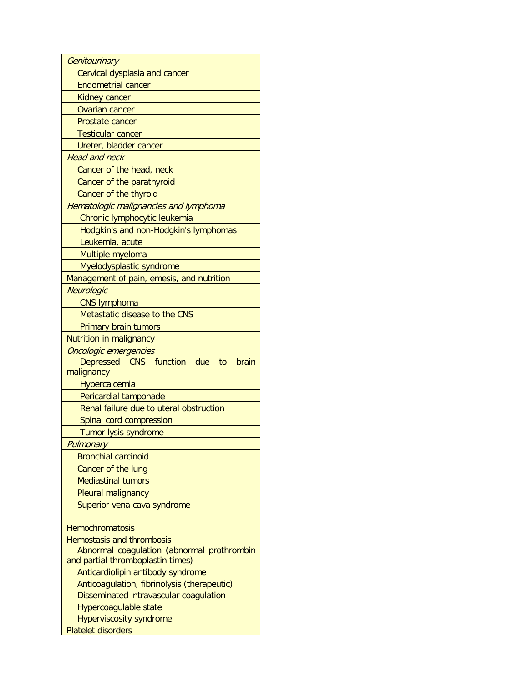| Genitourinary                                               |
|-------------------------------------------------------------|
| Cervical dysplasia and cancer                               |
| <b>Endometrial cancer</b>                                   |
| <b>Kidney cancer</b>                                        |
| <b>Ovarian cancer</b>                                       |
| Prostate cancer                                             |
| <b>Testicular cancer</b>                                    |
| Ureter, bladder cancer                                      |
| <b>Head and neck</b>                                        |
| Cancer of the head, neck                                    |
| Cancer of the parathyroid                                   |
| Cancer of the thyroid                                       |
| Hematologic malignancies and lymphoma                       |
| Chronic lymphocytic leukemia                                |
| Hodgkin's and non-Hodgkin's lymphomas                       |
| Leukemia, acute                                             |
| Multiple myeloma                                            |
| Myelodysplastic syndrome                                    |
| Management of pain, emesis, and nutrition                   |
| Neurologic                                                  |
| <b>CNS lymphoma</b>                                         |
| Metastatic disease to the CNS                               |
| Primary brain tumors                                        |
| Nutrition in malignancy                                     |
|                                                             |
| Oncologic emergencies                                       |
| Depressed CNS function<br>due<br>to<br>brain                |
| malignancy                                                  |
| Hypercalcemia                                               |
| Pericardial tamponade                                       |
| Renal failure due to uteral obstruction                     |
| Spinal cord compression                                     |
| Tumor lysis syndrome                                        |
| Pulmonary                                                   |
| <b>Bronchial carcinoid</b>                                  |
| Cancer of the lung                                          |
| <b>Mediastinal tumors</b>                                   |
| Pleural malignancy                                          |
| Superior vena cava syndrome                                 |
|                                                             |
| <b>Hemochromatosis</b>                                      |
| <b>Hemostasis and thrombosis</b>                            |
| Abnormal coagulation (abnormal prothrombin                  |
| and partial thromboplastin times)                           |
| Anticardiolipin antibody syndrome                           |
| Anticoagulation, fibrinolysis (therapeutic)                 |
| Disseminated intravascular coagulation                      |
| Hypercoagulable state                                       |
| <b>Hyperviscosity syndrome</b><br><b>Platelet disorders</b> |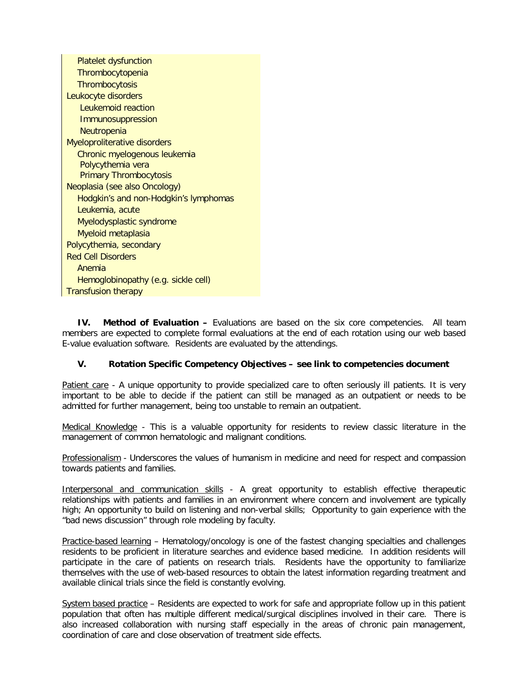| <b>Platelet dysfunction</b>           |
|---------------------------------------|
| Thrombocytopenia                      |
| <b>Thrombocytosis</b>                 |
| Leukocyte disorders                   |
| Leukemoid reaction                    |
| Immunosuppression                     |
| <b>Neutropenia</b>                    |
| Myeloproliterative disorders          |
| Chronic myelogenous leukemia          |
| Polycythemia vera                     |
| <b>Primary Thrombocytosis</b>         |
| Neoplasia (see also Oncology)         |
| Hodgkin's and non-Hodgkin's lymphomas |
| Leukemia, acute                       |
| Myelodysplastic syndrome              |
| Myeloid metaplasia                    |
| Polycythemia, secondary               |
| <b>Red Cell Disorders</b>             |
| Anemia                                |
| Hemoglobinopathy (e.g. sickle cell)   |
| <b>Transfusion therapy</b>            |

**IV. Method of Evaluation –** Evaluations are based on the six core competencies. All team members are expected to complete formal evaluations at the end of each rotation using our web based E-value evaluation software. Residents are evaluated by the attendings.

## **V. Rotation Specific Competency Objectives – see link to competencies document**

Patient care - A unique opportunity to provide specialized care to often seriously ill patients. It is very important to be able to decide if the patient can still be managed as an outpatient or needs to be admitted for further management, being too unstable to remain an outpatient.

Medical Knowledge - This is a valuable opportunity for residents to review classic literature in the management of common hematologic and malignant conditions.

Professionalism - Underscores the values of humanism in medicine and need for respect and compassion towards patients and families.

Interpersonal and communication skills - A great opportunity to establish effective therapeutic relationships with patients and families in an environment where concern and involvement are typically high; An opportunity to build on listening and non-verbal skills; Opportunity to gain experience with the "bad news discussion" through role modeling by faculty.

Practice-based learning – Hematology/oncology is one of the fastest changing specialties and challenges residents to be proficient in literature searches and evidence based medicine. In addition residents will participate in the care of patients on research trials. Residents have the opportunity to familiarize themselves with the use of web-based resources to obtain the latest information regarding treatment and available clinical trials since the field is constantly evolving.

System based practice – Residents are expected to work for safe and appropriate follow up in this patient population that often has multiple different medical/surgical disciplines involved in their care. There is also increased collaboration with nursing staff especially in the areas of chronic pain management, coordination of care and close observation of treatment side effects.